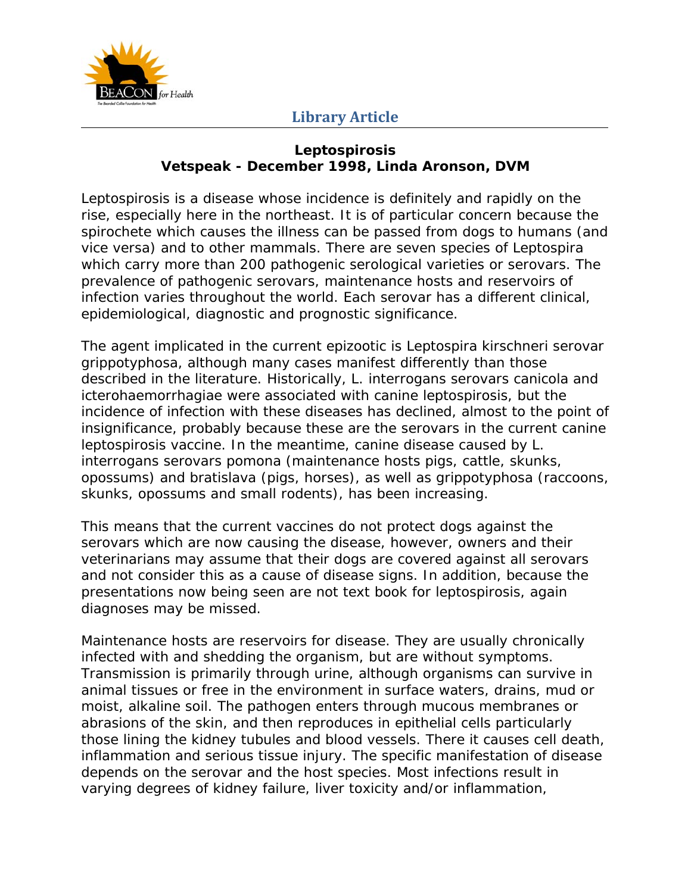

## **Library Article**

## **Leptospirosis Vetspeak - December 1998, Linda Aronson, DVM**

Leptospirosis is a disease whose incidence is definitely and rapidly on the rise, especially here in the northeast. It is of particular concern because the spirochete which causes the illness can be passed from dogs to humans (and vice versa) and to other mammals. There are seven species of Leptospira which carry more than 200 pathogenic serological varieties or serovars. The prevalence of pathogenic serovars, maintenance hosts and reservoirs of infection varies throughout the world. Each serovar has a different clinical, epidemiological, diagnostic and prognostic significance.

The agent implicated in the current epizootic is *Leptospira kirschneri serovar grippotyphosa*, although many cases manifest differently than those described in the literature. Historically, *L. interrogans serovars canicola* and *icterohaemorrhagiae* were associated with canine leptospirosis, but the incidence of infection with these diseases has declined, almost to the point of insignificance, probably because these are the serovars in the current canine leptospirosis vaccine. In the meantime, canine disease caused by *L. interrogans serovars pomona* (maintenance hosts pigs, cattle, skunks, opossums) and *bratislava* (pigs, horses), as well as *grippotyphosa* (raccoons, skunks, opossums and small rodents), has been increasing.

This means that the current vaccines do not protect dogs against the serovars which are now causing the disease, however, owners and their veterinarians may assume that their dogs are covered against all serovars and not consider this as a cause of disease signs. In addition, because the presentations now being seen are not text book for leptospirosis, again diagnoses may be missed.

Maintenance hosts are reservoirs for disease. They are usually chronically infected with and shedding the organism, but are without symptoms. Transmission is primarily through urine, although organisms can survive in animal tissues or free in the environment in surface waters, drains, mud or moist, alkaline soil. The pathogen enters through mucous membranes or abrasions of the skin, and then reproduces in epithelial cells particularly those lining the kidney tubules and blood vessels. There it causes cell death, inflammation and serious tissue injury. The specific manifestation of disease depends on the serovar and the host species. Most infections result in varying degrees of kidney failure, liver toxicity and/or inflammation,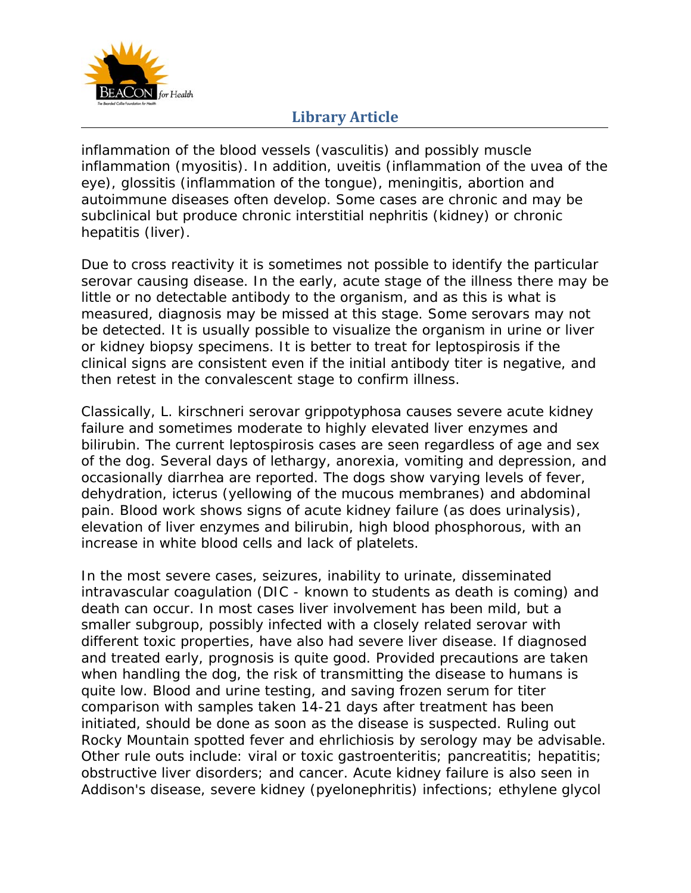

## **Library Article**

inflammation of the blood vessels (vasculitis) and possibly muscle inflammation (myositis). In addition, uveitis (inflammation of the uvea of the eye), glossitis (inflammation of the tongue), meningitis, abortion and autoimmune diseases often develop. Some cases are chronic and may be subclinical but produce chronic interstitial nephritis (kidney) or chronic hepatitis (liver).

Due to cross reactivity it is sometimes not possible to identify the particular serovar causing disease. In the early, acute stage of the illness there may be little or no detectable antibody to the organism, and as this is what is measured, diagnosis may be missed at this stage. Some serovars may not be detected. It is usually possible to visualize the organism in urine or liver or kidney biopsy specimens. It is better to treat for leptospirosis if the clinical signs are consistent even if the initial antibody titer is negative, and then retest in the convalescent stage to confirm illness.

Classically, *L. kirschneri serovar grippotyphosa* causes severe acute kidney failure and sometimes moderate to highly elevated liver enzymes and bilirubin. The current leptospirosis cases are seen regardless of age and sex of the dog. Several days of lethargy, anorexia, vomiting and depression, and occasionally diarrhea are reported. The dogs show varying levels of fever, dehydration, icterus (yellowing of the mucous membranes) and abdominal pain. Blood work shows signs of acute kidney failure (as does urinalysis), elevation of liver enzymes and bilirubin, high blood phosphorous, with an increase in white blood cells and lack of platelets.

In the most severe cases, seizures, inability to urinate, disseminated intravascular coagulation (DIC - known to students as death is coming) and death can occur. In most cases liver involvement has been mild, but a smaller subgroup, possibly infected with a closely related serovar with different toxic properties, have also had severe liver disease. If diagnosed and treated early, prognosis is quite good. Provided precautions are taken when handling the dog, the risk of transmitting the disease to humans is quite low. Blood and urine testing, and saving frozen serum for titer comparison with samples taken 14-21 days after treatment has been initiated, should be done as soon as the disease is suspected. Ruling out Rocky Mountain spotted fever and ehrlichiosis by serology may be advisable. Other rule outs include: viral or toxic gastroenteritis; pancreatitis; hepatitis; obstructive liver disorders; and cancer. Acute kidney failure is also seen in Addison's disease, severe kidney (pyelonephritis) infections; ethylene glycol